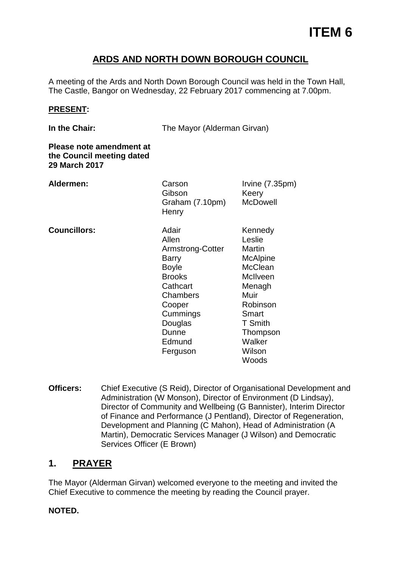# **ARDS AND NORTH DOWN BOROUGH COUNCIL**

A meeting of the Ards and North Down Borough Council was held in the Town Hall, The Castle, Bangor on Wednesday, 22 February 2017 commencing at 7.00pm.

#### **PRESENT:**

**In the Chair:** The Mayor (Alderman Girvan)

**Please note amendment at the Council meeting dated 29 March 2017 Aldermen: Councillors:** Carson Gibson Graham (7.10pm) **Henry** Adair Allen Armstrong-Cotter Barry Boyle Brooks **Cathcart Chambers** Cooper Irvine (7.35pm) Keery McDowell Muir

Kennedy Leslie Martin **McAlpine McClean** McIlveen Menagh Robinson Smart T Smith Thompson **Walker** Wilson **Woods** 

**Officers:** Chief Executive (S Reid), Director of Organisational Development and Administration (W Monson), Director of Environment (D Lindsay), Director of Community and Wellbeing (G Bannister), Interim Director of Finance and Performance (J Pentland), Director of Regeneration, Development and Planning (C Mahon), Head of Administration (A Martin), Democratic Services Manager (J Wilson) and Democratic Services Officer (E Brown)

**Cummings Douglas** Dunne **Edmund** Ferguson

# **1. PRAYER**

The Mayor (Alderman Girvan) welcomed everyone to the meeting and invited the Chief Executive to commence the meeting by reading the Council prayer.

#### **NOTED.**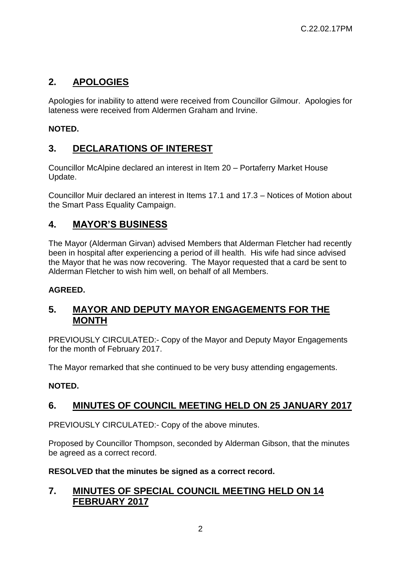# **2. APOLOGIES**

Apologies for inability to attend were received from Councillor Gilmour. Apologies for lateness were received from Aldermen Graham and Irvine.

### **NOTED.**

# **3. DECLARATIONS OF INTEREST**

Councillor McAlpine declared an interest in Item 20 – Portaferry Market House Update.

Councillor Muir declared an interest in Items 17.1 and 17.3 – Notices of Motion about the Smart Pass Equality Campaign.

# **4. MAYOR'S BUSINESS**

The Mayor (Alderman Girvan) advised Members that Alderman Fletcher had recently been in hospital after experiencing a period of ill health. His wife had since advised the Mayor that he was now recovering. The Mayor requested that a card be sent to Alderman Fletcher to wish him well, on behalf of all Members.

#### **AGREED.**

### **5. MAYOR AND DEPUTY MAYOR ENGAGEMENTS FOR THE MONTH**

PREVIOUSLY CIRCULATED:- Copy of the Mayor and Deputy Mayor Engagements for the month of February 2017.

The Mayor remarked that she continued to be very busy attending engagements.

#### **NOTED.**

# **6. MINUTES OF COUNCIL MEETING HELD ON 25 JANUARY 2017**

PREVIOUSLY CIRCULATED:- Copy of the above minutes.

Proposed by Councillor Thompson, seconded by Alderman Gibson, that the minutes be agreed as a correct record.

#### **RESOLVED that the minutes be signed as a correct record.**

### **7. MINUTES OF SPECIAL COUNCIL MEETING HELD ON 14 FEBRUARY 2017**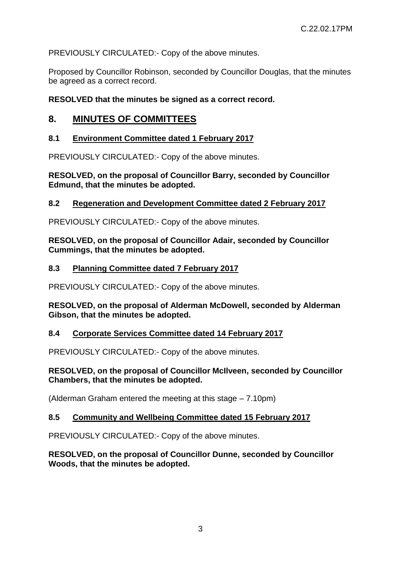PREVIOUSLY CIRCULATED:- Copy of the above minutes.

Proposed by Councillor Robinson, seconded by Councillor Douglas, that the minutes be agreed as a correct record.

#### **RESOLVED that the minutes be signed as a correct record.**

### **8. MINUTES OF COMMITTEES**

#### **8.1 Environment Committee dated 1 February 2017**

PREVIOUSLY CIRCULATED:- Copy of the above minutes.

**RESOLVED, on the proposal of Councillor Barry, seconded by Councillor Edmund, that the minutes be adopted.** 

#### **8.2 Regeneration and Development Committee dated 2 February 2017**

PREVIOUSLY CIRCULATED:- Copy of the above minutes.

**RESOLVED, on the proposal of Councillor Adair, seconded by Councillor Cummings, that the minutes be adopted.** 

#### **8.3 Planning Committee dated 7 February 2017**

PREVIOUSLY CIRCULATED:- Copy of the above minutes.

**RESOLVED, on the proposal of Alderman McDowell, seconded by Alderman Gibson, that the minutes be adopted.** 

#### **8.4 Corporate Services Committee dated 14 February 2017**

PREVIOUSLY CIRCULATED:- Copy of the above minutes.

#### **RESOLVED, on the proposal of Councillor McIlveen, seconded by Councillor Chambers, that the minutes be adopted.**

(Alderman Graham entered the meeting at this stage – 7.10pm)

#### **8.5 Community and Wellbeing Committee dated 15 February 2017**

PREVIOUSLY CIRCULATED:- Copy of the above minutes.

**RESOLVED, on the proposal of Councillor Dunne, seconded by Councillor Woods, that the minutes be adopted.**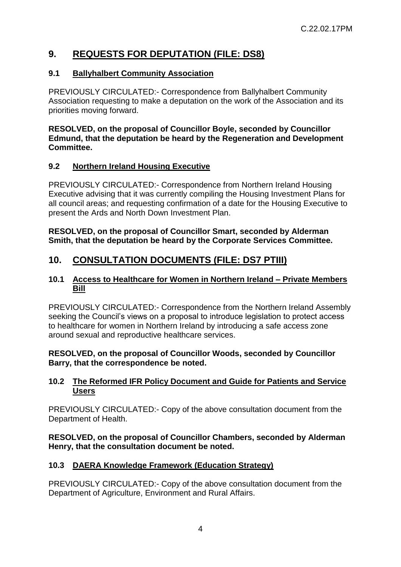# **9. REQUESTS FOR DEPUTATION (FILE: DS8)**

#### **9.1 Ballyhalbert Community Association**

PREVIOUSLY CIRCULATED:- Correspondence from Ballyhalbert Community Association requesting to make a deputation on the work of the Association and its priorities moving forward.

#### **RESOLVED, on the proposal of Councillor Boyle, seconded by Councillor Edmund, that the deputation be heard by the Regeneration and Development Committee.**

#### **9.2 Northern Ireland Housing Executive**

PREVIOUSLY CIRCULATED:- Correspondence from Northern Ireland Housing Executive advising that it was currently compiling the Housing Investment Plans for all council areas; and requesting confirmation of a date for the Housing Executive to present the Ards and North Down Investment Plan.

**RESOLVED, on the proposal of Councillor Smart, seconded by Alderman Smith, that the deputation be heard by the Corporate Services Committee.** 

# **10. CONSULTATION DOCUMENTS (FILE: DS7 PTIII)**

#### **10.1 Access to Healthcare for Women in Northern Ireland – Private Members Bill**

PREVIOUSLY CIRCULATED:- Correspondence from the Northern Ireland Assembly seeking the Council's views on a proposal to introduce legislation to protect access to healthcare for women in Northern Ireland by introducing a safe access zone around sexual and reproductive healthcare services.

#### **RESOLVED, on the proposal of Councillor Woods, seconded by Councillor Barry, that the correspondence be noted.**

#### **10.2 The Reformed IFR Policy Document and Guide for Patients and Service Users**

PREVIOUSLY CIRCULATED:- Copy of the above consultation document from the Department of Health.

#### **RESOLVED, on the proposal of Councillor Chambers, seconded by Alderman Henry, that the consultation document be noted.**

#### **10.3 DAERA Knowledge Framework (Education Strategy)**

PREVIOUSLY CIRCULATED:- Copy of the above consultation document from the Department of Agriculture, Environment and Rural Affairs.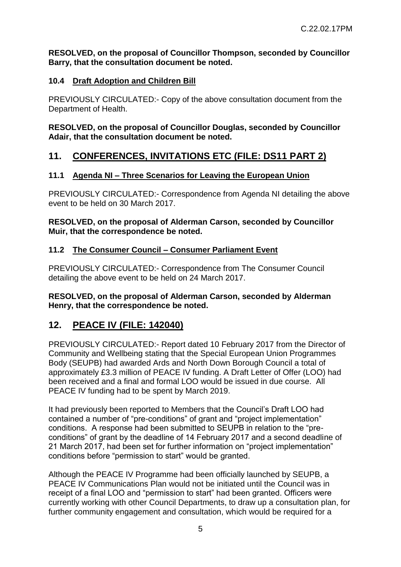#### **RESOLVED, on the proposal of Councillor Thompson, seconded by Councillor Barry, that the consultation document be noted.**

### **10.4 Draft Adoption and Children Bill**

PREVIOUSLY CIRCULATED:- Copy of the above consultation document from the Department of Health.

#### **RESOLVED, on the proposal of Councillor Douglas, seconded by Councillor Adair, that the consultation document be noted.**

# **11. CONFERENCES, INVITATIONS ETC (FILE: DS11 PART 2)**

### **11.1 Agenda NI – Three Scenarios for Leaving the European Union**

PREVIOUSLY CIRCULATED:- Correspondence from Agenda NI detailing the above event to be held on 30 March 2017.

#### **RESOLVED, on the proposal of Alderman Carson, seconded by Councillor Muir, that the correspondence be noted.**

### **11.2 The Consumer Council – Consumer Parliament Event**

PREVIOUSLY CIRCULATED:- Correspondence from The Consumer Council detailing the above event to be held on 24 March 2017.

#### **RESOLVED, on the proposal of Alderman Carson, seconded by Alderman Henry, that the correspondence be noted.**

# **12. PEACE IV (FILE: 142040)**

PREVIOUSLY CIRCULATED:- Report dated 10 February 2017 from the Director of Community and Wellbeing stating that the Special European Union Programmes Body (SEUPB) had awarded Ards and North Down Borough Council a total of approximately £3.3 million of PEACE IV funding. A Draft Letter of Offer (LOO) had been received and a final and formal LOO would be issued in due course. All PEACE IV funding had to be spent by March 2019.

It had previously been reported to Members that the Council's Draft LOO had contained a number of "pre-conditions" of grant and "project implementation" conditions. A response had been submitted to SEUPB in relation to the "preconditions" of grant by the deadline of 14 February 2017 and a second deadline of 21 March 2017, had been set for further information on "project implementation" conditions before "permission to start" would be granted.

Although the PEACE IV Programme had been officially launched by SEUPB, a PEACE IV Communications Plan would not be initiated until the Council was in receipt of a final LOO and "permission to start" had been granted. Officers were currently working with other Council Departments, to draw up a consultation plan, for further community engagement and consultation, which would be required for a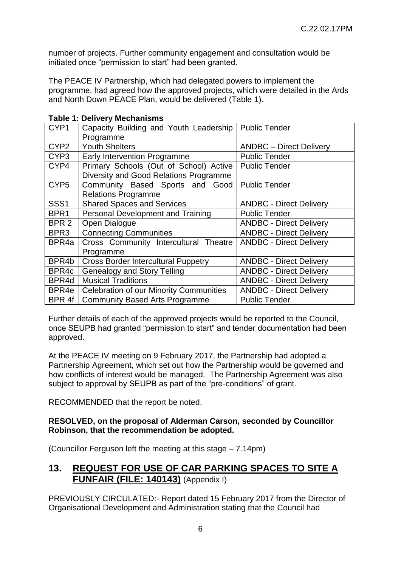number of projects. Further community engagement and consultation would be initiated once "permission to start" had been granted.

The PEACE IV Partnership, which had delegated powers to implement the programme, had agreed how the approved projects, which were detailed in the Ards and North Down PEACE Plan, would be delivered (Table 1).

| CYP1             | Capacity Building and Youth Leadership         | <b>Public Tender</b>           |  |
|------------------|------------------------------------------------|--------------------------------|--|
|                  | Programme                                      |                                |  |
| CYP <sub>2</sub> | <b>Youth Shelters</b>                          | <b>ANDBC</b> – Direct Delivery |  |
| CYP <sub>3</sub> | <b>Early Intervention Programme</b>            | <b>Public Tender</b>           |  |
| CYP4             | Primary Schools (Out of School) Active         | <b>Public Tender</b>           |  |
|                  | Diversity and Good Relations Programme         |                                |  |
| CYP <sub>5</sub> | Community Based Sports and Good                | <b>Public Tender</b>           |  |
|                  | <b>Relations Programme</b>                     |                                |  |
| SSS <sub>1</sub> | <b>Shared Spaces and Services</b>              | <b>ANDBC - Direct Delivery</b> |  |
| BPR <sub>1</sub> | Personal Development and Training              | <b>Public Tender</b>           |  |
| BPR <sub>2</sub> | Open Dialogue                                  | <b>ANDBC - Direct Delivery</b> |  |
| BPR <sub>3</sub> | <b>Connecting Communities</b>                  | <b>ANDBC - Direct Delivery</b> |  |
| BPR4a            | Cross Community Intercultural Theatre          | <b>ANDBC - Direct Delivery</b> |  |
|                  | Programme                                      |                                |  |
| BPR4b            | <b>Cross Border Intercultural Puppetry</b>     | <b>ANDBC - Direct Delivery</b> |  |
| BPR4c            | <b>Genealogy and Story Telling</b>             | <b>ANDBC - Direct Delivery</b> |  |
| BPR4d            | <b>Musical Traditions</b>                      | <b>ANDBC - Direct Delivery</b> |  |
| BPR4e            | <b>Celebration of our Minority Communities</b> | <b>ANDBC - Direct Delivery</b> |  |
| BPR 4f           | <b>Community Based Arts Programme</b>          | <b>Public Tender</b>           |  |

Further details of each of the approved projects would be reported to the Council, once SEUPB had granted "permission to start" and tender documentation had been approved.

At the PEACE IV meeting on 9 February 2017, the Partnership had adopted a Partnership Agreement, which set out how the Partnership would be governed and how conflicts of interest would be managed. The Partnership Agreement was also subject to approval by SEUPB as part of the "pre-conditions" of grant.

RECOMMENDED that the report be noted.

#### **RESOLVED, on the proposal of Alderman Carson, seconded by Councillor Robinson, that the recommendation be adopted.**

(Councillor Ferguson left the meeting at this stage – 7.14pm)

### **13. REQUEST FOR USE OF CAR PARKING SPACES TO SITE A FUNFAIR (FILE: 140143)** (Appendix I)

PREVIOUSLY CIRCULATED:- Report dated 15 February 2017 from the Director of Organisational Development and Administration stating that the Council had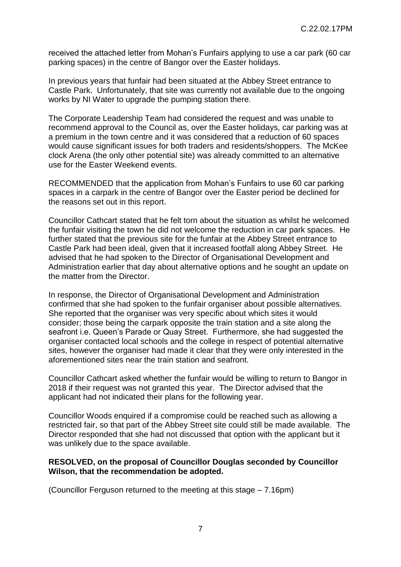received the attached letter from Mohan's Funfairs applying to use a car park (60 car parking spaces) in the centre of Bangor over the Easter holidays.

In previous years that funfair had been situated at the Abbey Street entrance to Castle Park. Unfortunately, that site was currently not available due to the ongoing works by NI Water to upgrade the pumping station there.

The Corporate Leadership Team had considered the request and was unable to recommend approval to the Council as, over the Easter holidays, car parking was at a premium in the town centre and it was considered that a reduction of 60 spaces would cause significant issues for both traders and residents/shoppers. The McKee clock Arena (the only other potential site) was already committed to an alternative use for the Easter Weekend events.

RECOMMENDED that the application from Mohan's Funfairs to use 60 car parking spaces in a carpark in the centre of Bangor over the Easter period be declined for the reasons set out in this report.

Councillor Cathcart stated that he felt torn about the situation as whilst he welcomed the funfair visiting the town he did not welcome the reduction in car park spaces. He further stated that the previous site for the funfair at the Abbey Street entrance to Castle Park had been ideal, given that it increased footfall along Abbey Street. He advised that he had spoken to the Director of Organisational Development and Administration earlier that day about alternative options and he sought an update on the matter from the Director.

In response, the Director of Organisational Development and Administration confirmed that she had spoken to the funfair organiser about possible alternatives. She reported that the organiser was very specific about which sites it would consider; those being the carpark opposite the train station and a site along the seafront i.e. Queen's Parade or Quay Street. Furthermore, she had suggested the organiser contacted local schools and the college in respect of potential alternative sites, however the organiser had made it clear that they were only interested in the aforementioned sites near the train station and seafront.

Councillor Cathcart asked whether the funfair would be willing to return to Bangor in 2018 if their request was not granted this year. The Director advised that the applicant had not indicated their plans for the following year.

Councillor Woods enquired if a compromise could be reached such as allowing a restricted fair, so that part of the Abbey Street site could still be made available. The Director responded that she had not discussed that option with the applicant but it was unlikely due to the space available.

#### **RESOLVED, on the proposal of Councillor Douglas seconded by Councillor Wilson, that the recommendation be adopted.**

(Councillor Ferguson returned to the meeting at this stage – 7.16pm)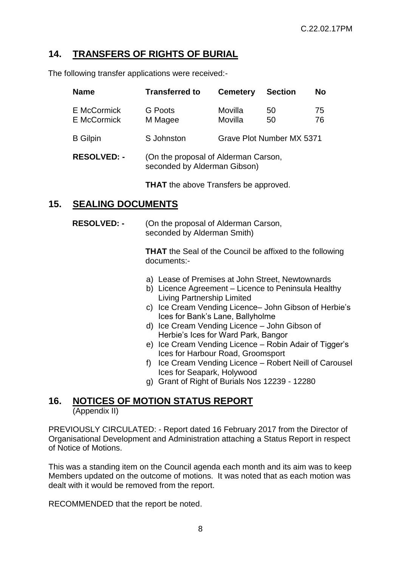# **14. TRANSFERS OF RIGHTS OF BURIAL**

The following transfer applications were received:-

| <b>Name</b>                | <b>Transferred to</b>                                                | <b>Cemetery</b>    | <b>Section</b>            | <b>No</b> |
|----------------------------|----------------------------------------------------------------------|--------------------|---------------------------|-----------|
| E McCormick<br>E McCormick | G Poots<br>M Magee                                                   | Movilla<br>Movilla | 50<br>50                  | 75<br>76  |
| <b>B</b> Gilpin            | S Johnston                                                           |                    | Grave Plot Number MX 5371 |           |
| <b>RESOLVED: -</b>         | (On the proposal of Alderman Carson,<br>seconded by Alderman Gibson) |                    |                           |           |

**THAT** the above Transfers be approved.

### **15. SEALING DOCUMENTS**

**RESOLVED: -** (On the proposal of Alderman Carson, seconded by Alderman Smith)

> **THAT** the Seal of the Council be affixed to the following documents:-

- a) Lease of Premises at John Street, Newtownards
- b) Licence Agreement Licence to Peninsula Healthy Living Partnership Limited
- c) Ice Cream Vending Licence– John Gibson of Herbie's Ices for Bank's Lane, Ballyholme
- d) Ice Cream Vending Licence John Gibson of Herbie's Ices for Ward Park, Bangor
- e) Ice Cream Vending Licence Robin Adair of Tigger's Ices for Harbour Road, Groomsport
- f) Ice Cream Vending Licence Robert Neill of Carousel Ices for Seapark, Holywood
- g) Grant of Right of Burials Nos 12239 12280

#### **16. NOTICES OF MOTION STATUS REPORT**  (Appendix II)

PREVIOUSLY CIRCULATED: - Report dated 16 February 2017 from the Director of Organisational Development and Administration attaching a Status Report in respect of Notice of Motions.

This was a standing item on the Council agenda each month and its aim was to keep Members updated on the outcome of motions. It was noted that as each motion was dealt with it would be removed from the report.

RECOMMENDED that the report be noted.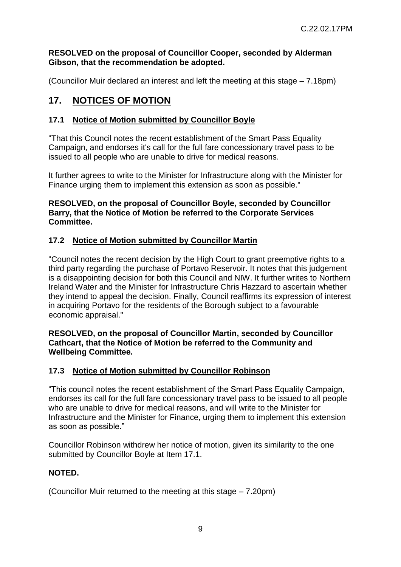#### **RESOLVED on the proposal of Councillor Cooper, seconded by Alderman Gibson, that the recommendation be adopted.**

(Councillor Muir declared an interest and left the meeting at this stage – 7.18pm)

# **17. NOTICES OF MOTION**

### **17.1 Notice of Motion submitted by Councillor Boyle**

"That this Council notes the recent establishment of the Smart Pass Equality Campaign, and endorses it's call for the full fare concessionary travel pass to be issued to all people who are unable to drive for medical reasons.

It further agrees to write to the Minister for Infrastructure along with the Minister for Finance urging them to implement this extension as soon as possible."

#### **RESOLVED, on the proposal of Councillor Boyle, seconded by Councillor Barry, that the Notice of Motion be referred to the Corporate Services Committee.**

### **17.2 Notice of Motion submitted by Councillor Martin**

"Council notes the recent decision by the High Court to grant preemptive rights to a third party regarding the purchase of Portavo Reservoir. It notes that this judgement is a disappointing decision for both this Council and NIW. It further writes to Northern Ireland Water and the Minister for Infrastructure Chris Hazzard to ascertain whether they intend to appeal the decision. Finally, Council reaffirms its expression of interest in acquiring Portavo for the residents of the Borough subject to a favourable economic appraisal."

#### **RESOLVED, on the proposal of Councillor Martin, seconded by Councillor Cathcart, that the Notice of Motion be referred to the Community and Wellbeing Committee.**

#### **17.3 Notice of Motion submitted by Councillor Robinson**

"This council notes the recent establishment of the Smart Pass Equality Campaign, endorses its call for the full fare concessionary travel pass to be issued to all people who are unable to drive for medical reasons, and will write to the Minister for Infrastructure and the Minister for Finance, urging them to implement this extension as soon as possible."

Councillor Robinson withdrew her notice of motion, given its similarity to the one submitted by Councillor Boyle at Item 17.1.

#### **NOTED.**

(Councillor Muir returned to the meeting at this stage – 7.20pm)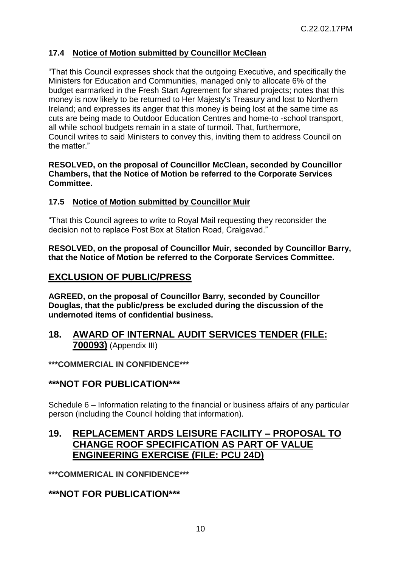### **17.4 Notice of Motion submitted by Councillor McClean**

"That this Council expresses shock that the outgoing Executive, and specifically the Ministers for Education and Communities, managed only to allocate 6% of the budget earmarked in the Fresh Start Agreement for shared projects; notes that this money is now likely to be returned to Her Majesty's Treasury and lost to Northern Ireland; and expresses its anger that this money is being lost at the same time as cuts are being made to Outdoor Education Centres and home-to -school transport, all while school budgets remain in a state of turmoil. That, furthermore, Council writes to said Ministers to convey this, inviting them to address Council on the matter."

#### **RESOLVED, on the proposal of Councillor McClean, seconded by Councillor Chambers, that the Notice of Motion be referred to the Corporate Services Committee.**

#### **17.5 Notice of Motion submitted by Councillor Muir**

"That this Council agrees to write to Royal Mail requesting they reconsider the decision not to replace Post Box at Station Road, Craigavad."

**RESOLVED, on the proposal of Councillor Muir, seconded by Councillor Barry, that the Notice of Motion be referred to the Corporate Services Committee.** 

### **EXCLUSION OF PUBLIC/PRESS**

**AGREED, on the proposal of Councillor Barry, seconded by Councillor Douglas, that the public/press be excluded during the discussion of the undernoted items of confidential business.** 

### **18. AWARD OF INTERNAL AUDIT SERVICES TENDER (FILE: 700093)** (Appendix III)

**\*\*\*COMMERCIAL IN CONFIDENCE\*\*\***

### **\*\*\*NOT FOR PUBLICATION\*\*\***

Schedule 6 – Information relating to the financial or business affairs of any particular person (including the Council holding that information).

# **19. REPLACEMENT ARDS LEISURE FACILITY – PROPOSAL TO CHANGE ROOF SPECIFICATION AS PART OF VALUE ENGINEERING EXERCISE (FILE: PCU 24D)**

**\*\*\*COMMERICAL IN CONFIDENCE\*\*\***

### **\*\*\*NOT FOR PUBLICATION\*\*\***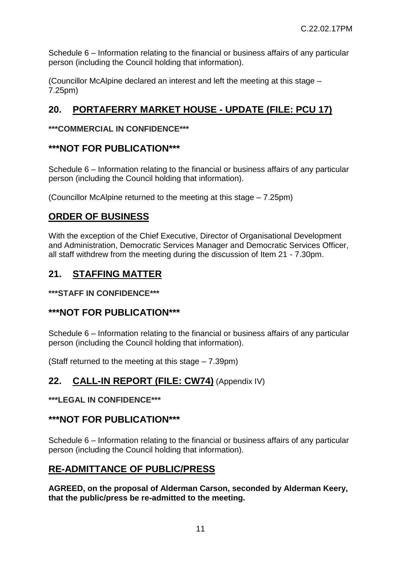Schedule 6 – Information relating to the financial or business affairs of any particular person (including the Council holding that information).

(Councillor McAlpine declared an interest and left the meeting at this stage – 7.25pm)

# **20. PORTAFERRY MARKET HOUSE - UPDATE (FILE: PCU 17)**

### **\*\*\*COMMERCIAL IN CONFIDENCE\*\*\***

### **\*\*\*NOT FOR PUBLICATION\*\*\***

Schedule 6 – Information relating to the financial or business affairs of any particular person (including the Council holding that information).

(Councillor McAlpine returned to the meeting at this stage – 7.25pm)

# **ORDER OF BUSINESS**

With the exception of the Chief Executive, Director of Organisational Development and Administration, Democratic Services Manager and Democratic Services Officer, all staff withdrew from the meeting during the discussion of Item 21 - 7.30pm.

# **21. STAFFING MATTER**

**\*\*\*STAFF IN CONFIDENCE\*\*\***

# **\*\*\*NOT FOR PUBLICATION\*\*\***

Schedule 6 – Information relating to the financial or business affairs of any particular person (including the Council holding that information).

(Staff returned to the meeting at this stage – 7.39pm)

# **22. CALL-IN REPORT (FILE: CW74)** (Appendix IV)

#### **\*\*\*LEGAL IN CONFIDENCE\*\*\***

# **\*\*\*NOT FOR PUBLICATION\*\*\***

Schedule 6 – Information relating to the financial or business affairs of any particular person (including the Council holding that information).

# **RE-ADMITTANCE OF PUBLIC/PRESS**

**AGREED, on the proposal of Alderman Carson, seconded by Alderman Keery, that the public/press be re-admitted to the meeting.**